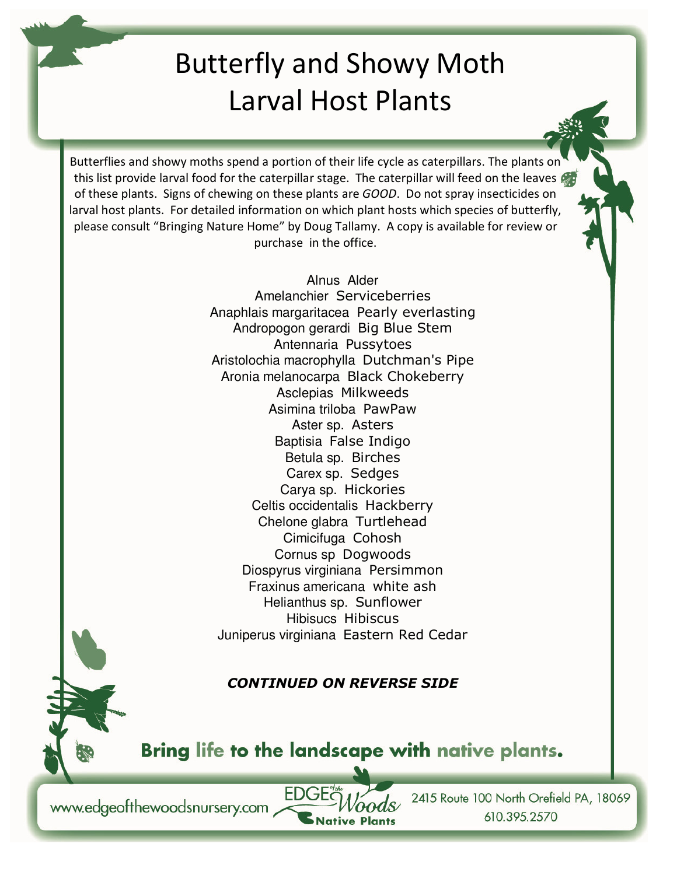## Butterfly and Showy Moth Larval Host Plants

Butterflies and showy moths spend a portion of their life cycle as caterpillars. The plants on this list provide larval food for the caterpillar stage. The caterpillar will feed on the leaves of these plants. Signs of chewing on these plants are *GOOD*. Do not spray insecticides on larval host plants. For detailed information on which plant hosts which species of butterfly, please consult "Bringing Nature Home" by Doug Tallamy. A copy is available for review or purchase in the office.

> Alnus Alder Amelanchier Serviceberries Anaphlais margaritacea Pearly everlasting Andropogon gerardi Big Blue Stem Antennaria Pussytoes Aristolochia macrophylla Dutchman's Pipe Aronia melanocarpa Black Chokeberry Asclepias Milkweeds Asimina triloba PawPaw Aster sp. Asters Baptisia False Indigo Betula sp. Birches Carex sp. Sedges Carya sp. Hickories Celtis occidentalis Hackberry Chelone glabra Turtlehead Cimicifuga Cohosh Cornus sp Dogwoods Diospyrus virginiana Persimmon Fraxinus americana white ash Helianthus sp. Sunflower Hibisucs Hibiscus Juniperus virginiana Eastern Red Cedar

## *CONTINUED ON REVERSE SIDE*

Bring life to the landscape with native plants.

**Native Plants** 

www.edgeofthewoodsnursery.com

2415 Route 100 North Orefield PA, 18069 610.395.2570